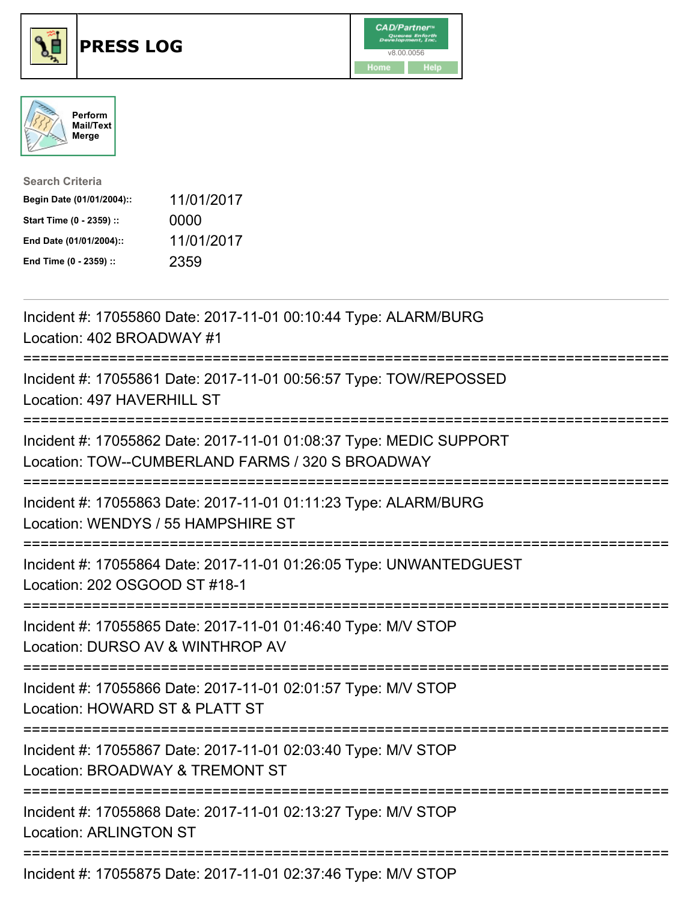





| <b>Search Criteria</b>    |            |
|---------------------------|------------|
| Begin Date (01/01/2004):: | 11/01/2017 |
| Start Time (0 - 2359) ::  | 0000       |
| End Date (01/01/2004)::   | 11/01/2017 |
| End Time (0 - 2359) ::    | 2359       |

| Incident #: 17055860 Date: 2017-11-01 00:10:44 Type: ALARM/BURG<br>Location: 402 BROADWAY #1                                                  |
|-----------------------------------------------------------------------------------------------------------------------------------------------|
| Incident #: 17055861 Date: 2017-11-01 00:56:57 Type: TOW/REPOSSED<br>Location: 497 HAVERHILL ST                                               |
| Incident #: 17055862 Date: 2017-11-01 01:08:37 Type: MEDIC SUPPORT<br>Location: TOW--CUMBERLAND FARMS / 320 S BROADWAY                        |
| Incident #: 17055863 Date: 2017-11-01 01:11:23 Type: ALARM/BURG<br>Location: WENDYS / 55 HAMPSHIRE ST                                         |
| Incident #: 17055864 Date: 2017-11-01 01:26:05 Type: UNWANTEDGUEST<br>Location: 202 OSGOOD ST #18-1                                           |
| Incident #: 17055865 Date: 2017-11-01 01:46:40 Type: M/V STOP<br>Location: DURSO AV & WINTHROP AV<br>------------------------<br>------------ |
| Incident #: 17055866 Date: 2017-11-01 02:01:57 Type: M/V STOP<br>Location: HOWARD ST & PLATT ST                                               |
| Incident #: 17055867 Date: 2017-11-01 02:03:40 Type: M/V STOP<br>Location: BROADWAY & TREMONT ST<br>===========================               |
| Incident #: 17055868 Date: 2017-11-01 02:13:27 Type: M/V STOP<br><b>Location: ARLINGTON ST</b>                                                |
| Incident #: 17055875 Date: 2017-11-01 02:37:46 Type: M/V STOP                                                                                 |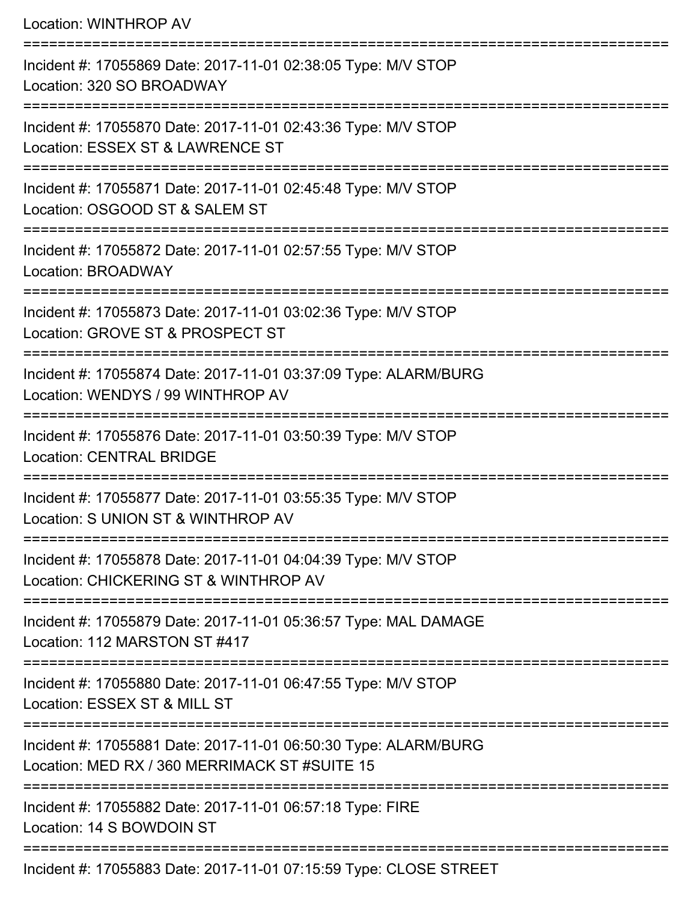| <b>Location: WINTHROP AV</b>                                                                                                            |
|-----------------------------------------------------------------------------------------------------------------------------------------|
| Incident #: 17055869 Date: 2017-11-01 02:38:05 Type: M/V STOP<br>Location: 320 SO BROADWAY                                              |
| Incident #: 17055870 Date: 2017-11-01 02:43:36 Type: M/V STOP<br>Location: ESSEX ST & LAWRENCE ST<br>==============================     |
| Incident #: 17055871 Date: 2017-11-01 02:45:48 Type: M/V STOP<br>Location: OSGOOD ST & SALEM ST                                         |
| Incident #: 17055872 Date: 2017-11-01 02:57:55 Type: M/V STOP<br><b>Location: BROADWAY</b>                                              |
| =============================<br>Incident #: 17055873 Date: 2017-11-01 03:02:36 Type: M/V STOP<br>Location: GROVE ST & PROSPECT ST      |
| Incident #: 17055874 Date: 2017-11-01 03:37:09 Type: ALARM/BURG<br>Location: WENDYS / 99 WINTHROP AV                                    |
| Incident #: 17055876 Date: 2017-11-01 03:50:39 Type: M/V STOP<br><b>Location: CENTRAL BRIDGE</b>                                        |
| :===============================<br>Incident #: 17055877 Date: 2017-11-01 03:55:35 Type: M/V STOP<br>Location: S UNION ST & WINTHROP AV |
| Incident #: 17055878 Date: 2017-11-01 04:04:39 Type: M/V STOP<br>Location: CHICKERING ST & WINTHROP AV                                  |
| Incident #: 17055879 Date: 2017-11-01 05:36:57 Type: MAL DAMAGE<br>Location: 112 MARSTON ST #417                                        |
| Incident #: 17055880 Date: 2017-11-01 06:47:55 Type: M/V STOP<br>Location: ESSEX ST & MILL ST                                           |
| Incident #: 17055881 Date: 2017-11-01 06:50:30 Type: ALARM/BURG<br>Location: MED RX / 360 MERRIMACK ST #SUITE 15                        |
| Incident #: 17055882 Date: 2017-11-01 06:57:18 Type: FIRE<br>Location: 14 S BOWDOIN ST                                                  |
| Incident #: 17055883 Date: 2017-11-01 07:15:59 Type: CLOSE STREET                                                                       |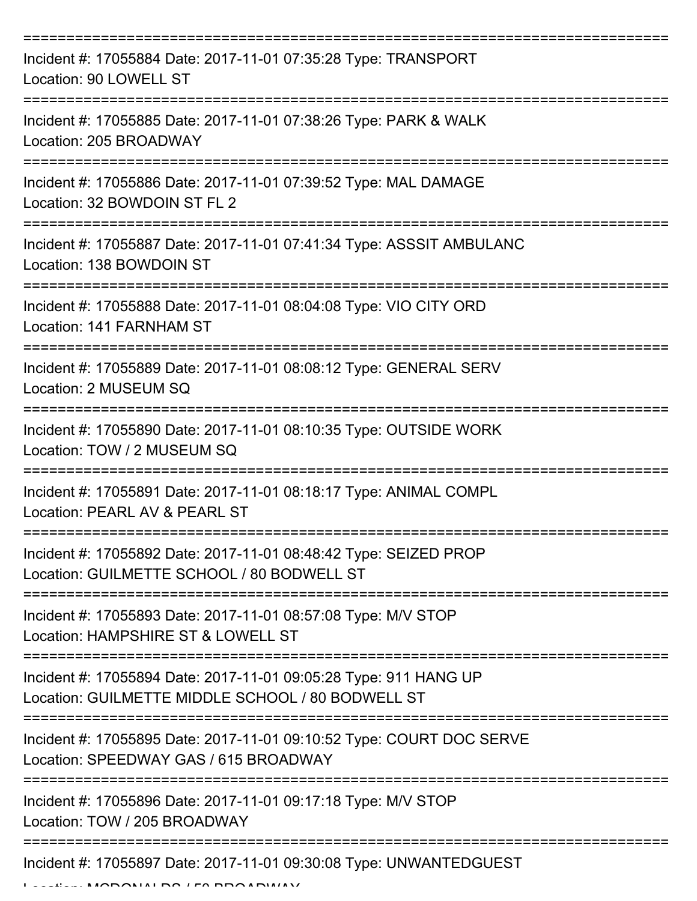| Incident #: 17055884 Date: 2017-11-01 07:35:28 Type: TRANSPORT<br>Location: 90 LOWELL ST                              |
|-----------------------------------------------------------------------------------------------------------------------|
| Incident #: 17055885 Date: 2017-11-01 07:38:26 Type: PARK & WALK<br>Location: 205 BROADWAY                            |
| Incident #: 17055886 Date: 2017-11-01 07:39:52 Type: MAL DAMAGE<br>Location: 32 BOWDOIN ST FL 2                       |
| Incident #: 17055887 Date: 2017-11-01 07:41:34 Type: ASSSIT AMBULANC<br>Location: 138 BOWDOIN ST                      |
| Incident #: 17055888 Date: 2017-11-01 08:04:08 Type: VIO CITY ORD<br>Location: 141 FARNHAM ST                         |
| Incident #: 17055889 Date: 2017-11-01 08:08:12 Type: GENERAL SERV<br>Location: 2 MUSEUM SQ                            |
| Incident #: 17055890 Date: 2017-11-01 08:10:35 Type: OUTSIDE WORK<br>Location: TOW / 2 MUSEUM SQ                      |
| Incident #: 17055891 Date: 2017-11-01 08:18:17 Type: ANIMAL COMPL<br>Location: PEARL AV & PEARL ST                    |
| Incident #: 17055892 Date: 2017-11-01 08:48:42 Type: SEIZED PROP<br>Location: GUILMETTE SCHOOL / 80 BODWELL ST        |
| Incident #: 17055893 Date: 2017-11-01 08:57:08 Type: M/V STOP<br>Location: HAMPSHIRE ST & LOWELL ST                   |
| Incident #: 17055894 Date: 2017-11-01 09:05:28 Type: 911 HANG UP<br>Location: GUILMETTE MIDDLE SCHOOL / 80 BODWELL ST |
| Incident #: 17055895 Date: 2017-11-01 09:10:52 Type: COURT DOC SERVE<br>Location: SPEEDWAY GAS / 615 BROADWAY         |
| Incident #: 17055896 Date: 2017-11-01 09:17:18 Type: M/V STOP<br>Location: TOW / 205 BROADWAY                         |
| Incident #: 17055897 Date: 2017-11-01 09:30:08 Type: UNWANTEDGUEST                                                    |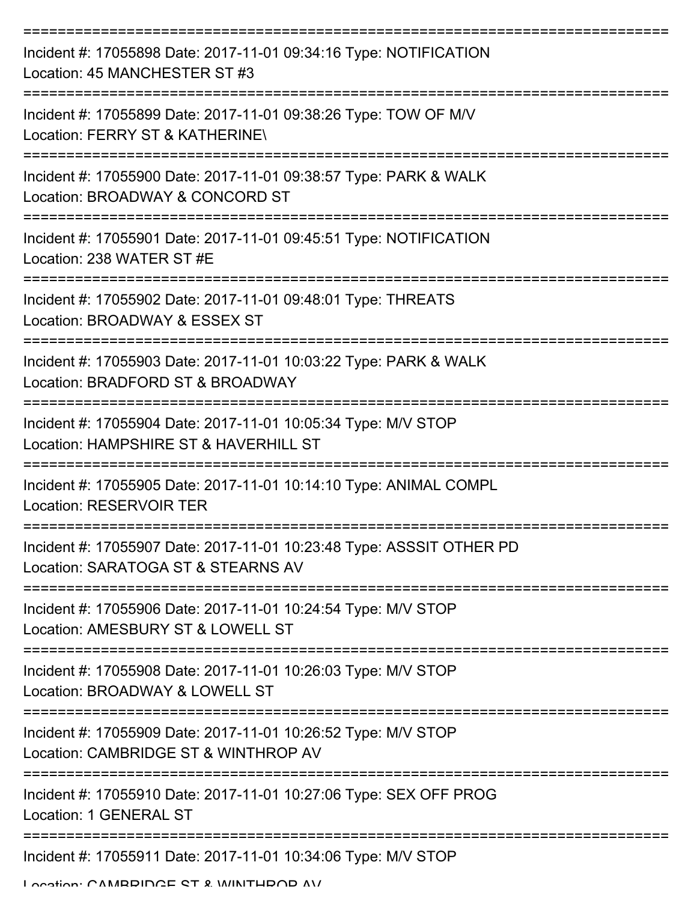| Incident #: 17055898 Date: 2017-11-01 09:34:16 Type: NOTIFICATION<br>Location: 45 MANCHESTER ST #3         |
|------------------------------------------------------------------------------------------------------------|
| Incident #: 17055899 Date: 2017-11-01 09:38:26 Type: TOW OF M/V<br>Location: FERRY ST & KATHERINE\         |
| Incident #: 17055900 Date: 2017-11-01 09:38:57 Type: PARK & WALK<br>Location: BROADWAY & CONCORD ST        |
| Incident #: 17055901 Date: 2017-11-01 09:45:51 Type: NOTIFICATION<br>Location: 238 WATER ST #E             |
| Incident #: 17055902 Date: 2017-11-01 09:48:01 Type: THREATS<br>Location: BROADWAY & ESSEX ST              |
| Incident #: 17055903 Date: 2017-11-01 10:03:22 Type: PARK & WALK<br>Location: BRADFORD ST & BROADWAY       |
| Incident #: 17055904 Date: 2017-11-01 10:05:34 Type: M/V STOP<br>Location: HAMPSHIRE ST & HAVERHILL ST     |
| Incident #: 17055905 Date: 2017-11-01 10:14:10 Type: ANIMAL COMPL<br>Location: RESERVOIR TER               |
| Incident #: 17055907 Date: 2017-11-01 10:23:48 Type: ASSSIT OTHER PD<br>Location: SARATOGA ST & STEARNS AV |
| Incident #: 17055906 Date: 2017-11-01 10:24:54 Type: M/V STOP<br>Location: AMESBURY ST & LOWELL ST         |
| Incident #: 17055908 Date: 2017-11-01 10:26:03 Type: M/V STOP<br>Location: BROADWAY & LOWELL ST            |
| Incident #: 17055909 Date: 2017-11-01 10:26:52 Type: M/V STOP<br>Location: CAMBRIDGE ST & WINTHROP AV      |
| Incident #: 17055910 Date: 2017-11-01 10:27:06 Type: SEX OFF PROG<br>Location: 1 GENERAL ST                |
| Incident #: 17055911 Date: 2017-11-01 10:34:06 Type: M/V STOP                                              |

Location: CAMBBIDGE ST & WINTHBOD AV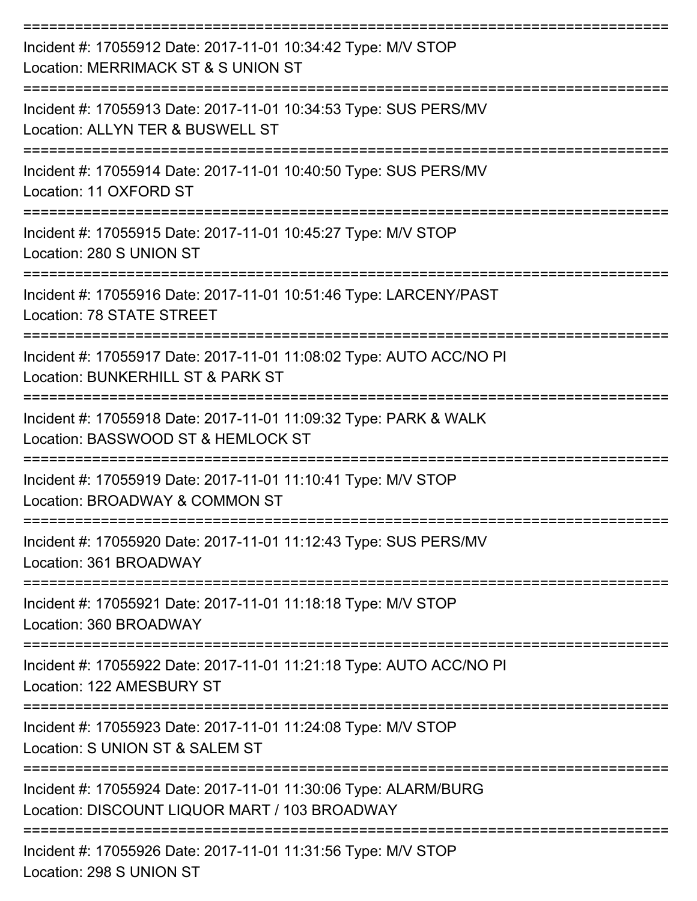| Incident #: 17055912 Date: 2017-11-01 10:34:42 Type: M/V STOP<br>Location: MERRIMACK ST & S UNION ST                        |
|-----------------------------------------------------------------------------------------------------------------------------|
| Incident #: 17055913 Date: 2017-11-01 10:34:53 Type: SUS PERS/MV<br>Location: ALLYN TER & BUSWELL ST                        |
| Incident #: 17055914 Date: 2017-11-01 10:40:50 Type: SUS PERS/MV<br>Location: 11 OXFORD ST                                  |
| Incident #: 17055915 Date: 2017-11-01 10:45:27 Type: M/V STOP<br>Location: 280 S UNION ST                                   |
| Incident #: 17055916 Date: 2017-11-01 10:51:46 Type: LARCENY/PAST<br>Location: 78 STATE STREET                              |
| Incident #: 17055917 Date: 2017-11-01 11:08:02 Type: AUTO ACC/NO PI<br>Location: BUNKERHILL ST & PARK ST                    |
| Incident #: 17055918 Date: 2017-11-01 11:09:32 Type: PARK & WALK<br>Location: BASSWOOD ST & HEMLOCK ST                      |
| Incident #: 17055919 Date: 2017-11-01 11:10:41 Type: M/V STOP<br>Location: BROADWAY & COMMON ST                             |
| Incident #: 17055920 Date: 2017-11-01 11:12:43 Type: SUS PERS/MV<br>Location: 361 BROADWAY                                  |
| Incident #: 17055921 Date: 2017-11-01 11:18:18 Type: M/V STOP<br>Location: 360 BROADWAY                                     |
| Incident #: 17055922 Date: 2017-11-01 11:21:18 Type: AUTO ACC/NO PI<br>Location: 122 AMESBURY ST                            |
| Incident #: 17055923 Date: 2017-11-01 11:24:08 Type: M/V STOP<br>Location: S UNION ST & SALEM ST                            |
| Incident #: 17055924 Date: 2017-11-01 11:30:06 Type: ALARM/BURG<br>Location: DISCOUNT LIQUOR MART / 103 BROADWAY            |
| ------------------------------<br>Incident #: 17055926 Date: 2017-11-01 11:31:56 Type: M/V STOP<br>Location: 298 S UNION ST |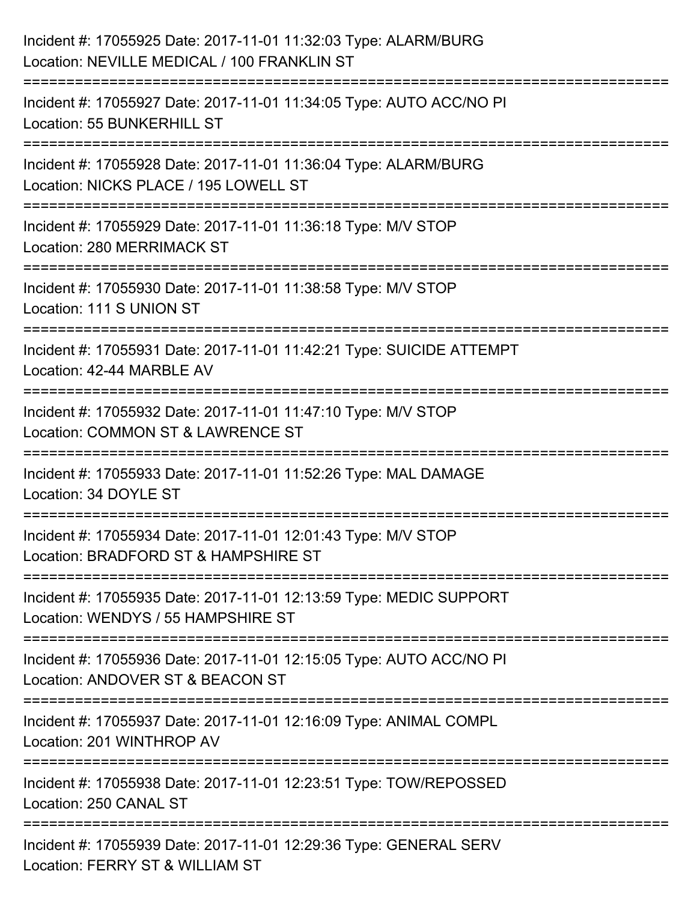| Incident #: 17055925 Date: 2017-11-01 11:32:03 Type: ALARM/BURG<br>Location: NEVILLE MEDICAL / 100 FRANKLIN ST                        |
|---------------------------------------------------------------------------------------------------------------------------------------|
| Incident #: 17055927 Date: 2017-11-01 11:34:05 Type: AUTO ACC/NO PI<br>Location: 55 BUNKERHILL ST                                     |
| Incident #: 17055928 Date: 2017-11-01 11:36:04 Type: ALARM/BURG<br>Location: NICKS PLACE / 195 LOWELL ST<br>;======================== |
| Incident #: 17055929 Date: 2017-11-01 11:36:18 Type: M/V STOP<br>Location: 280 MERRIMACK ST                                           |
| Incident #: 17055930 Date: 2017-11-01 11:38:58 Type: M/V STOP<br>Location: 111 S UNION ST                                             |
| Incident #: 17055931 Date: 2017-11-01 11:42:21 Type: SUICIDE ATTEMPT<br>Location: 42-44 MARBLE AV                                     |
| =================<br>Incident #: 17055932 Date: 2017-11-01 11:47:10 Type: M/V STOP<br>Location: COMMON ST & LAWRENCE ST               |
| Incident #: 17055933 Date: 2017-11-01 11:52:26 Type: MAL DAMAGE<br>Location: 34 DOYLE ST                                              |
| Incident #: 17055934 Date: 2017-11-01 12:01:43 Type: M/V STOP<br>Location: BRADFORD ST & HAMPSHIRE ST                                 |
| Incident #: 17055935 Date: 2017-11-01 12:13:59 Type: MEDIC SUPPORT<br>Location: WENDYS / 55 HAMPSHIRE ST                              |
| Incident #: 17055936 Date: 2017-11-01 12:15:05 Type: AUTO ACC/NO PI<br>Location: ANDOVER ST & BEACON ST                               |
| Incident #: 17055937 Date: 2017-11-01 12:16:09 Type: ANIMAL COMPL<br>Location: 201 WINTHROP AV                                        |
| Incident #: 17055938 Date: 2017-11-01 12:23:51 Type: TOW/REPOSSED<br>Location: 250 CANAL ST                                           |
| Incident #: 17055939 Date: 2017-11-01 12:29:36 Type: GENERAL SERV<br>Location: FERRY ST & WILLIAM ST                                  |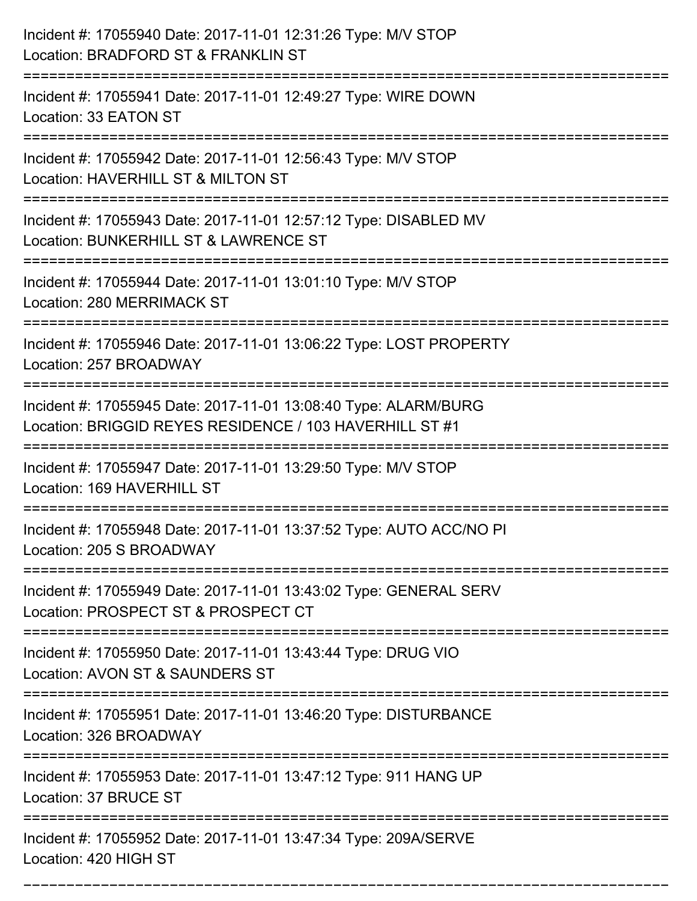| Incident #: 17055940 Date: 2017-11-01 12:31:26 Type: M/V STOP<br>Location: BRADFORD ST & FRANKLIN ST                       |
|----------------------------------------------------------------------------------------------------------------------------|
| Incident #: 17055941 Date: 2017-11-01 12:49:27 Type: WIRE DOWN<br>Location: 33 EATON ST                                    |
| Incident #: 17055942 Date: 2017-11-01 12:56:43 Type: M/V STOP<br>Location: HAVERHILL ST & MILTON ST                        |
| Incident #: 17055943 Date: 2017-11-01 12:57:12 Type: DISABLED MV<br>Location: BUNKERHILL ST & LAWRENCE ST                  |
| Incident #: 17055944 Date: 2017-11-01 13:01:10 Type: M/V STOP<br><b>Location: 280 MERRIMACK ST</b>                         |
| Incident #: 17055946 Date: 2017-11-01 13:06:22 Type: LOST PROPERTY<br>Location: 257 BROADWAY                               |
| Incident #: 17055945 Date: 2017-11-01 13:08:40 Type: ALARM/BURG<br>Location: BRIGGID REYES RESIDENCE / 103 HAVERHILL ST #1 |
| Incident #: 17055947 Date: 2017-11-01 13:29:50 Type: M/V STOP<br>Location: 169 HAVERHILL ST                                |
| Incident #: 17055948 Date: 2017-11-01 13:37:52 Type: AUTO ACC/NO PI<br>Location: 205 S BROADWAY<br>==================      |
| Incident #: 17055949 Date: 2017-11-01 13:43:02 Type: GENERAL SERV<br>Location: PROSPECT ST & PROSPECT CT                   |
| Incident #: 17055950 Date: 2017-11-01 13:43:44 Type: DRUG VIO<br>Location: AVON ST & SAUNDERS ST                           |
| Incident #: 17055951 Date: 2017-11-01 13:46:20 Type: DISTURBANCE<br>Location: 326 BROADWAY                                 |
| Incident #: 17055953 Date: 2017-11-01 13:47:12 Type: 911 HANG UP<br>Location: 37 BRUCE ST                                  |
| Incident #: 17055952 Date: 2017-11-01 13:47:34 Type: 209A/SERVE<br>Location: 420 HIGH ST                                   |

===========================================================================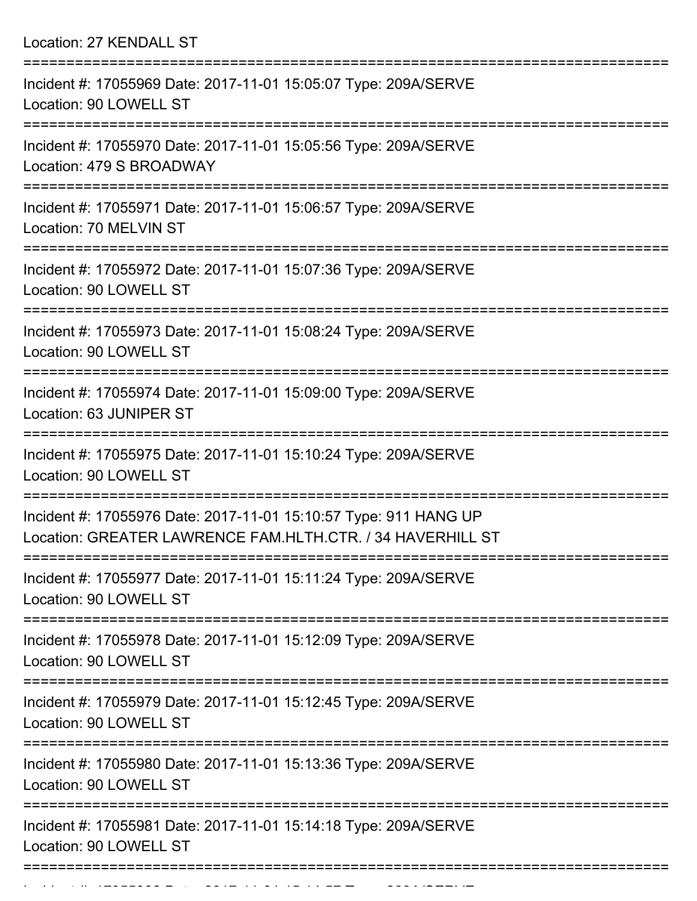Location: 27 KENDALL ST

| Incident #: 17055969 Date: 2017-11-01 15:05:07 Type: 209A/SERVE<br>Location: 90 LOWELL ST                                      |
|--------------------------------------------------------------------------------------------------------------------------------|
| Incident #: 17055970 Date: 2017-11-01 15:05:56 Type: 209A/SERVE<br>Location: 479 S BROADWAY                                    |
| Incident #: 17055971 Date: 2017-11-01 15:06:57 Type: 209A/SERVE<br>Location: 70 MELVIN ST                                      |
| Incident #: 17055972 Date: 2017-11-01 15:07:36 Type: 209A/SERVE<br>Location: 90 LOWELL ST<br>===================               |
| Incident #: 17055973 Date: 2017-11-01 15:08:24 Type: 209A/SERVE<br>Location: 90 LOWELL ST                                      |
| Incident #: 17055974 Date: 2017-11-01 15:09:00 Type: 209A/SERVE<br>Location: 63 JUNIPER ST                                     |
| Incident #: 17055975 Date: 2017-11-01 15:10:24 Type: 209A/SERVE<br>Location: 90 LOWELL ST                                      |
| Incident #: 17055976 Date: 2017-11-01 15:10:57 Type: 911 HANG UP<br>Location: GREATER LAWRENCE FAM.HLTH.CTR. / 34 HAVERHILL ST |
| Incident #: 17055977 Date: 2017-11-01 15:11:24 Type: 209A/SERVE<br>Location: 90 LOWELL ST                                      |
| Incident #: 17055978 Date: 2017-11-01 15:12:09 Type: 209A/SERVE<br>Location: 90 LOWELL ST                                      |
| Incident #: 17055979 Date: 2017-11-01 15:12:45 Type: 209A/SERVE<br>Location: 90 LOWELL ST                                      |
| Incident #: 17055980 Date: 2017-11-01 15:13:36 Type: 209A/SERVE<br>Location: 90 LOWELL ST                                      |
| Incident #: 17055981 Date: 2017-11-01 15:14:18 Type: 209A/SERVE<br>Location: 90 LOWELL ST                                      |
|                                                                                                                                |

Incident #: 17055982 Date: 2017 11 01 15:14:57 Type: 209A/SERVE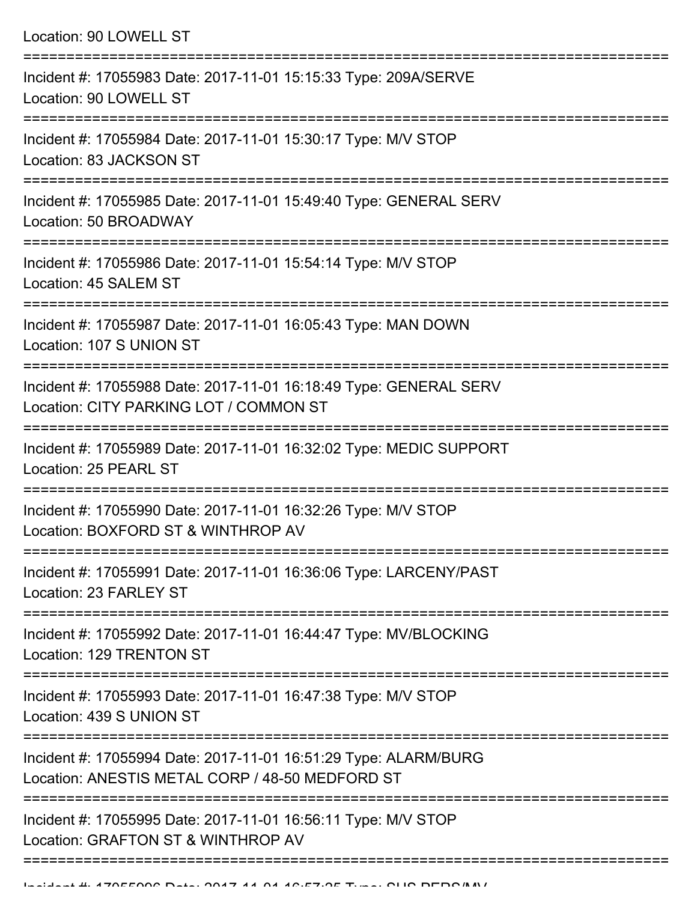| Incident #: 17055983 Date: 2017-11-01 15:15:33 Type: 209A/SERVE<br>Location: 90 LOWELL ST<br>Incident #: 17055984 Date: 2017-11-01 15:30:17 Type: M/V STOP<br>Location: 83 JACKSON ST<br>Incident #: 17055985 Date: 2017-11-01 15:49:40 Type: GENERAL SERV<br>Location: 50 BROADWAY<br>:=============================<br>Incident #: 17055986 Date: 2017-11-01 15:54:14 Type: M/V STOP<br>Location: 45 SALEM ST<br>Incident #: 17055987 Date: 2017-11-01 16:05:43 Type: MAN DOWN<br>Location: 107 S UNION ST<br>Incident #: 17055988 Date: 2017-11-01 16:18:49 Type: GENERAL SERV<br>Location: CITY PARKING LOT / COMMON ST<br>-----------------<br>Incident #: 17055989 Date: 2017-11-01 16:32:02 Type: MEDIC SUPPORT<br>Location: 25 PEARL ST<br>Incident #: 17055990 Date: 2017-11-01 16:32:26 Type: M/V STOP<br>Location: BOXFORD ST & WINTHROP AV<br>Incident #: 17055991 Date: 2017-11-01 16:36:06 Type: LARCENY/PAST<br>Location: 23 FARLEY ST<br>===================<br>Incident #: 17055992 Date: 2017-11-01 16:44:47 Type: MV/BLOCKING<br>Location: 129 TRENTON ST<br>Incident #: 17055993 Date: 2017-11-01 16:47:38 Type: M/V STOP<br>Location: 439 S UNION ST |
|---------------------------------------------------------------------------------------------------------------------------------------------------------------------------------------------------------------------------------------------------------------------------------------------------------------------------------------------------------------------------------------------------------------------------------------------------------------------------------------------------------------------------------------------------------------------------------------------------------------------------------------------------------------------------------------------------------------------------------------------------------------------------------------------------------------------------------------------------------------------------------------------------------------------------------------------------------------------------------------------------------------------------------------------------------------------------------------------------------------------------------------------------------------------------|
|                                                                                                                                                                                                                                                                                                                                                                                                                                                                                                                                                                                                                                                                                                                                                                                                                                                                                                                                                                                                                                                                                                                                                                           |
|                                                                                                                                                                                                                                                                                                                                                                                                                                                                                                                                                                                                                                                                                                                                                                                                                                                                                                                                                                                                                                                                                                                                                                           |
|                                                                                                                                                                                                                                                                                                                                                                                                                                                                                                                                                                                                                                                                                                                                                                                                                                                                                                                                                                                                                                                                                                                                                                           |
|                                                                                                                                                                                                                                                                                                                                                                                                                                                                                                                                                                                                                                                                                                                                                                                                                                                                                                                                                                                                                                                                                                                                                                           |
|                                                                                                                                                                                                                                                                                                                                                                                                                                                                                                                                                                                                                                                                                                                                                                                                                                                                                                                                                                                                                                                                                                                                                                           |
|                                                                                                                                                                                                                                                                                                                                                                                                                                                                                                                                                                                                                                                                                                                                                                                                                                                                                                                                                                                                                                                                                                                                                                           |
|                                                                                                                                                                                                                                                                                                                                                                                                                                                                                                                                                                                                                                                                                                                                                                                                                                                                                                                                                                                                                                                                                                                                                                           |
|                                                                                                                                                                                                                                                                                                                                                                                                                                                                                                                                                                                                                                                                                                                                                                                                                                                                                                                                                                                                                                                                                                                                                                           |
|                                                                                                                                                                                                                                                                                                                                                                                                                                                                                                                                                                                                                                                                                                                                                                                                                                                                                                                                                                                                                                                                                                                                                                           |
|                                                                                                                                                                                                                                                                                                                                                                                                                                                                                                                                                                                                                                                                                                                                                                                                                                                                                                                                                                                                                                                                                                                                                                           |
|                                                                                                                                                                                                                                                                                                                                                                                                                                                                                                                                                                                                                                                                                                                                                                                                                                                                                                                                                                                                                                                                                                                                                                           |
| Incident #: 17055994 Date: 2017-11-01 16:51:29 Type: ALARM/BURG<br>Location: ANESTIS METAL CORP / 48-50 MEDFORD ST                                                                                                                                                                                                                                                                                                                                                                                                                                                                                                                                                                                                                                                                                                                                                                                                                                                                                                                                                                                                                                                        |
| Incident #: 17055995 Date: 2017-11-01 16:56:11 Type: M/V STOP<br>Location: GRAFTON ST & WINTHROP AV                                                                                                                                                                                                                                                                                                                                                                                                                                                                                                                                                                                                                                                                                                                                                                                                                                                                                                                                                                                                                                                                       |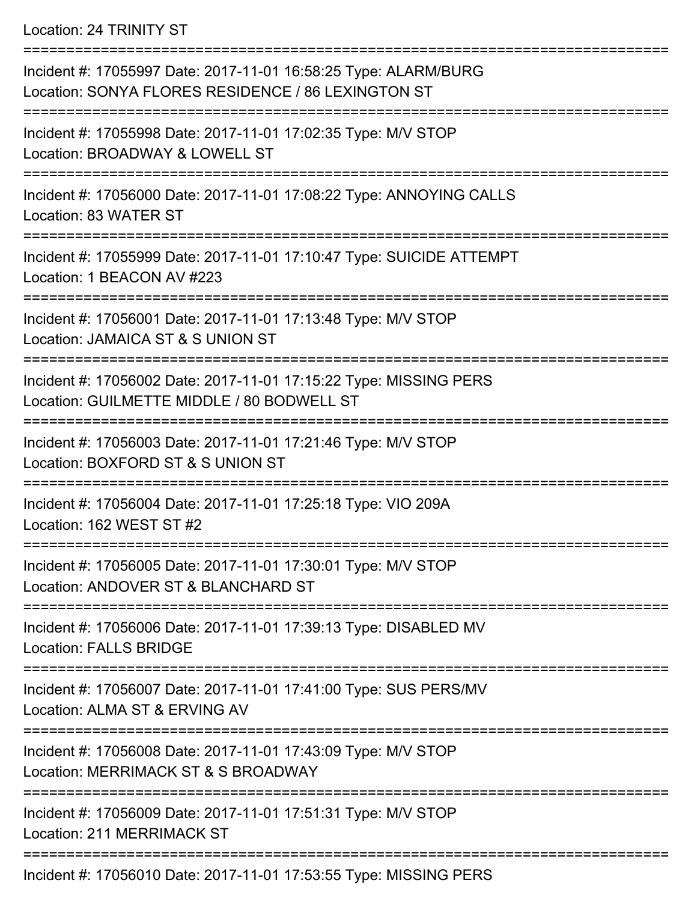Location: 24 TRINITY ST

| Incident #: 17055997 Date: 2017-11-01 16:58:25 Type: ALARM/BURG<br>Location: SONYA FLORES RESIDENCE / 86 LEXINGTON ST |
|-----------------------------------------------------------------------------------------------------------------------|
| Incident #: 17055998 Date: 2017-11-01 17:02:35 Type: M/V STOP<br>Location: BROADWAY & LOWELL ST                       |
| Incident #: 17056000 Date: 2017-11-01 17:08:22 Type: ANNOYING CALLS<br>Location: 83 WATER ST                          |
| Incident #: 17055999 Date: 2017-11-01 17:10:47 Type: SUICIDE ATTEMPT<br>Location: 1 BEACON AV #223                    |
| Incident #: 17056001 Date: 2017-11-01 17:13:48 Type: M/V STOP<br>Location: JAMAICA ST & S UNION ST                    |
| Incident #: 17056002 Date: 2017-11-01 17:15:22 Type: MISSING PERS<br>Location: GUILMETTE MIDDLE / 80 BODWELL ST       |
| Incident #: 17056003 Date: 2017-11-01 17:21:46 Type: M/V STOP<br>Location: BOXFORD ST & S UNION ST                    |
| Incident #: 17056004 Date: 2017-11-01 17:25:18 Type: VIO 209A<br>Location: 162 WEST ST #2                             |
| Incident #: 17056005 Date: 2017-11-01 17:30:01 Type: M/V STOP<br>Location: ANDOVER ST & BLANCHARD ST                  |
| Incident #: 17056006 Date: 2017-11-01 17:39:13 Type: DISABLED MV<br><b>Location: FALLS BRIDGE</b>                     |
| Incident #: 17056007 Date: 2017-11-01 17:41:00 Type: SUS PERS/MV<br>Location: ALMA ST & ERVING AV                     |
| Incident #: 17056008 Date: 2017-11-01 17:43:09 Type: M/V STOP<br>Location: MERRIMACK ST & S BROADWAY                  |
| Incident #: 17056009 Date: 2017-11-01 17:51:31 Type: M/V STOP<br>Location: 211 MERRIMACK ST                           |
| Incident #: 17056010 Date: 2017-11-01 17:53:55 Type: MISSING PERS                                                     |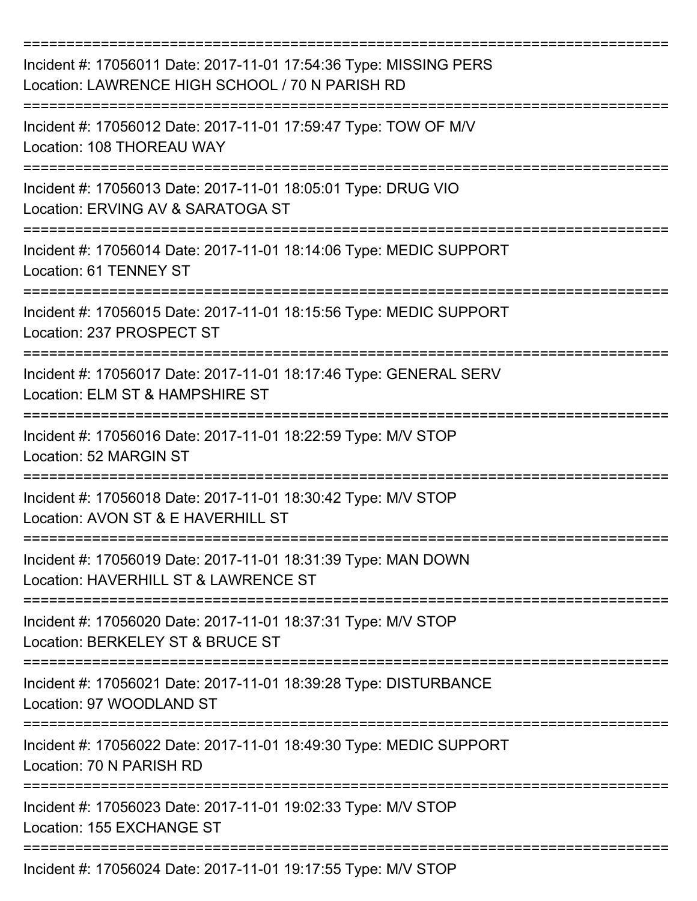| Incident #: 17056011 Date: 2017-11-01 17:54:36 Type: MISSING PERS<br>Location: LAWRENCE HIGH SCHOOL / 70 N PARISH RD<br>========================== |
|----------------------------------------------------------------------------------------------------------------------------------------------------|
| Incident #: 17056012 Date: 2017-11-01 17:59:47 Type: TOW OF M/V<br>Location: 108 THOREAU WAY                                                       |
| Incident #: 17056013 Date: 2017-11-01 18:05:01 Type: DRUG VIO<br>Location: ERVING AV & SARATOGA ST                                                 |
| Incident #: 17056014 Date: 2017-11-01 18:14:06 Type: MEDIC SUPPORT<br>Location: 61 TENNEY ST                                                       |
| Incident #: 17056015 Date: 2017-11-01 18:15:56 Type: MEDIC SUPPORT<br>Location: 237 PROSPECT ST                                                    |
| Incident #: 17056017 Date: 2017-11-01 18:17:46 Type: GENERAL SERV<br>Location: ELM ST & HAMPSHIRE ST                                               |
| Incident #: 17056016 Date: 2017-11-01 18:22:59 Type: M/V STOP<br>Location: 52 MARGIN ST                                                            |
| Incident #: 17056018 Date: 2017-11-01 18:30:42 Type: M/V STOP<br>Location: AVON ST & E HAVERHILL ST                                                |
| Incident #: 17056019 Date: 2017-11-01 18:31:39 Type: MAN DOWN<br>Location: HAVERHILL ST & LAWRENCE ST                                              |
| Incident #: 17056020 Date: 2017-11-01 18:37:31 Type: M/V STOP<br>Location: BERKELEY ST & BRUCE ST                                                  |
| Incident #: 17056021 Date: 2017-11-01 18:39:28 Type: DISTURBANCE<br>Location: 97 WOODLAND ST                                                       |
| Incident #: 17056022 Date: 2017-11-01 18:49:30 Type: MEDIC SUPPORT<br>Location: 70 N PARISH RD                                                     |
| Incident #: 17056023 Date: 2017-11-01 19:02:33 Type: M/V STOP<br>Location: 155 EXCHANGE ST                                                         |
| Incident #: 17056024 Date: 2017-11-01 19:17:55 Type: M/V STOP                                                                                      |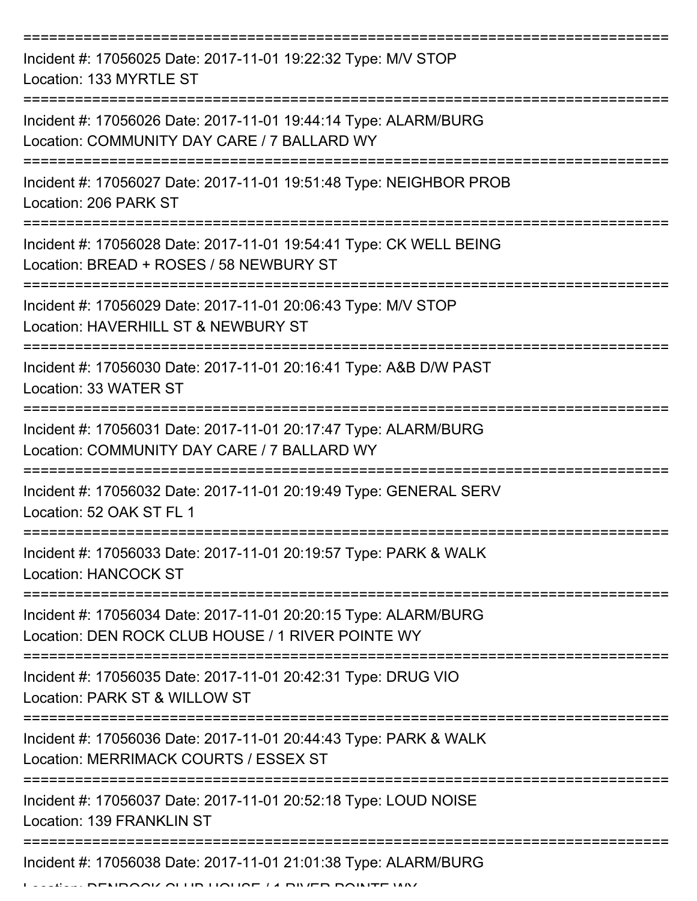| Incident #: 17056025 Date: 2017-11-01 19:22:32 Type: M/V STOP<br>Location: 133 MYRTLE ST                             |
|----------------------------------------------------------------------------------------------------------------------|
| Incident #: 17056026 Date: 2017-11-01 19:44:14 Type: ALARM/BURG<br>Location: COMMUNITY DAY CARE / 7 BALLARD WY       |
| Incident #: 17056027 Date: 2017-11-01 19:51:48 Type: NEIGHBOR PROB<br>Location: 206 PARK ST                          |
| Incident #: 17056028 Date: 2017-11-01 19:54:41 Type: CK WELL BEING<br>Location: BREAD + ROSES / 58 NEWBURY ST        |
| Incident #: 17056029 Date: 2017-11-01 20:06:43 Type: M/V STOP<br>Location: HAVERHILL ST & NEWBURY ST                 |
| Incident #: 17056030 Date: 2017-11-01 20:16:41 Type: A&B D/W PAST<br>Location: 33 WATER ST                           |
| Incident #: 17056031 Date: 2017-11-01 20:17:47 Type: ALARM/BURG<br>Location: COMMUNITY DAY CARE / 7 BALLARD WY       |
| Incident #: 17056032 Date: 2017-11-01 20:19:49 Type: GENERAL SERV<br>Location: 52 OAK ST FL 1                        |
| Incident #: 17056033 Date: 2017-11-01 20:19:57 Type: PARK & WALK<br><b>Location: HANCOCK ST</b>                      |
| Incident #: 17056034 Date: 2017-11-01 20:20:15 Type: ALARM/BURG<br>Location: DEN ROCK CLUB HOUSE / 1 RIVER POINTE WY |
| Incident #: 17056035 Date: 2017-11-01 20:42:31 Type: DRUG VIO<br>Location: PARK ST & WILLOW ST                       |
| Incident #: 17056036 Date: 2017-11-01 20:44:43 Type: PARK & WALK<br>Location: MERRIMACK COURTS / ESSEX ST            |
| Incident #: 17056037 Date: 2017-11-01 20:52:18 Type: LOUD NOISE<br><b>Location: 139 FRANKLIN ST</b>                  |
| Incident #: 17056038 Date: 2017-11-01 21:01:38 Type: ALARM/BURG<br>DENDAAI/ ALLIB HAHAE / 4 DILIED DAINEE MA/        |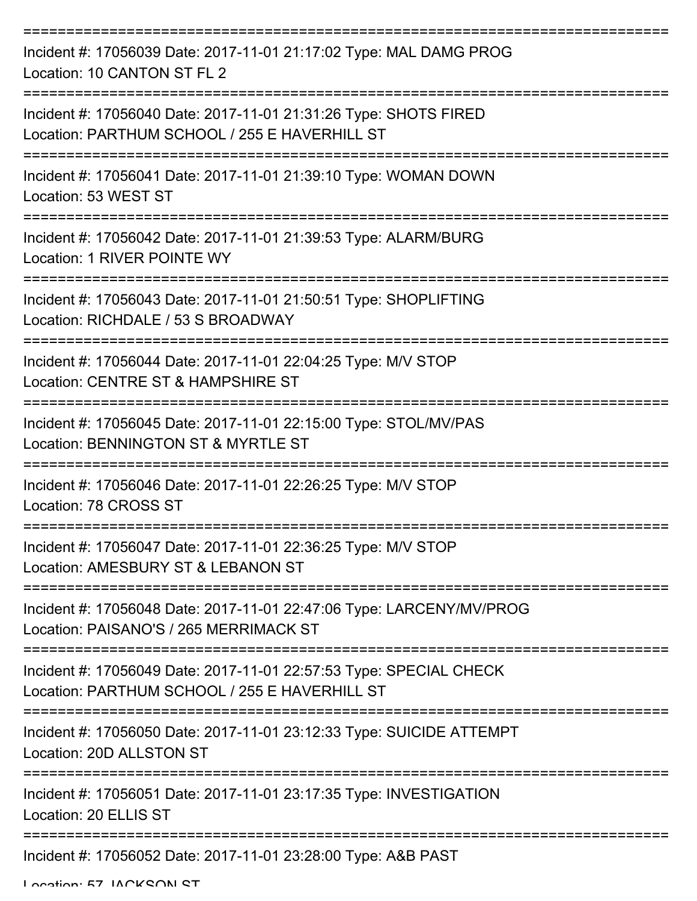| Incident #: 17056039 Date: 2017-11-01 21:17:02 Type: MAL DAMG PROG<br>Location: 10 CANTON ST FL 2                   |
|---------------------------------------------------------------------------------------------------------------------|
| Incident #: 17056040 Date: 2017-11-01 21:31:26 Type: SHOTS FIRED<br>Location: PARTHUM SCHOOL / 255 E HAVERHILL ST   |
| Incident #: 17056041 Date: 2017-11-01 21:39:10 Type: WOMAN DOWN<br>Location: 53 WEST ST                             |
| Incident #: 17056042 Date: 2017-11-01 21:39:53 Type: ALARM/BURG<br>Location: 1 RIVER POINTE WY                      |
| Incident #: 17056043 Date: 2017-11-01 21:50:51 Type: SHOPLIFTING<br>Location: RICHDALE / 53 S BROADWAY              |
| Incident #: 17056044 Date: 2017-11-01 22:04:25 Type: M/V STOP<br>Location: CENTRE ST & HAMPSHIRE ST                 |
| Incident #: 17056045 Date: 2017-11-01 22:15:00 Type: STOL/MV/PAS<br>Location: BENNINGTON ST & MYRTLE ST             |
| Incident #: 17056046 Date: 2017-11-01 22:26:25 Type: M/V STOP<br>Location: 78 CROSS ST                              |
| Incident #: 17056047 Date: 2017-11-01 22:36:25 Type: M/V STOP<br>Location: AMESBURY ST & LEBANON ST                 |
| Incident #: 17056048 Date: 2017-11-01 22:47:06 Type: LARCENY/MV/PROG<br>Location: PAISANO'S / 265 MERRIMACK ST      |
| Incident #: 17056049 Date: 2017-11-01 22:57:53 Type: SPECIAL CHECK<br>Location: PARTHUM SCHOOL / 255 E HAVERHILL ST |
| Incident #: 17056050 Date: 2017-11-01 23:12:33 Type: SUICIDE ATTEMPT<br>Location: 20D ALLSTON ST                    |
| Incident #: 17056051 Date: 2017-11-01 23:17:35 Type: INVESTIGATION<br>Location: 20 ELLIS ST                         |
| Incident #: 17056052 Date: 2017-11-01 23:28:00 Type: A&B PAST                                                       |

Location: 57 IACKSON ST